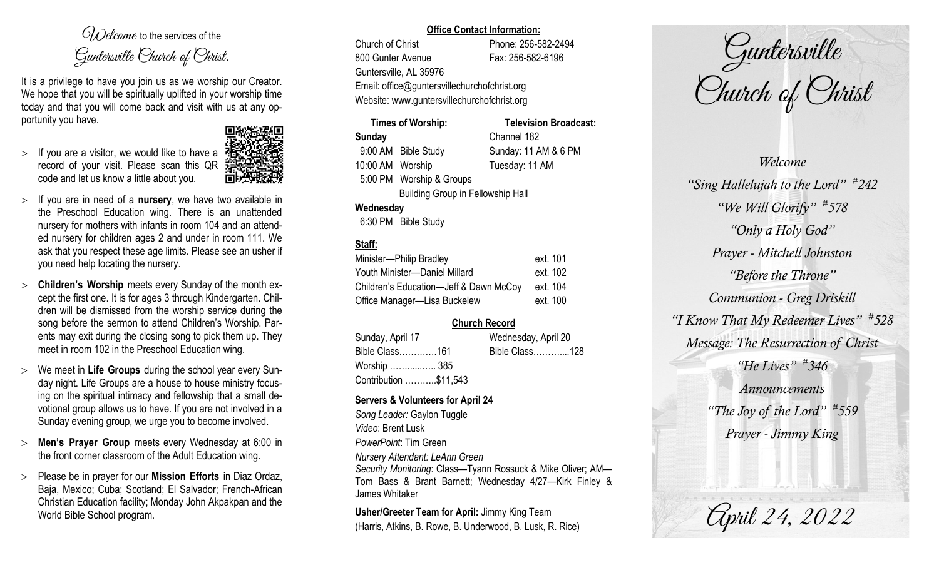$O(\lambda)$  elcame to the services of the Guntersville Church of Christ.

It is a privilege to have you join us as we worship our Creator. We hope that you will be spiritually uplifted in your worship time today and that you will come back and visit with us at any opportunity you have.

 $>$  If you are a visitor, we would like to have a record of your visit. Please scan this QR code and let us know a little about you.



- If you are in need of a **nursery**, we have two available in the Preschool Education wing. There is an unattended nursery for mothers with infants in room 104 and an attended nursery for children ages 2 and under in room 111. We ask that you respect these age limits. Please see an usher if you need help locating the nursery.
- **Children's Worship** meets every Sunday of the month except the first one. It is for ages 3 through Kindergarten. Children will be dismissed from the worship service during the song before the sermon to attend Children's Worship. Parents may exit during the closing song to pick them up. They meet in room 102 in the Preschool Education wing.
- We meet in **Life Groups** during the school year every Sunday night. Life Groups are a house to house ministry focusing on the spiritual intimacy and fellowship that a small devotional group allows us to have. If you are not involved in a Sunday evening group, we urge you to become involved.
- **Men's Prayer Group** meets every Wednesday at 6:00 in the front corner classroom of the Adult Education wing.
- Please be in prayer for our **Mission Efforts** in Diaz Ordaz, Baja, Mexico; Cuba; Scotland; El Salvador; French-African Christian Education facility; Monday John Akpakpan and the World Bible School program.

### **Office Contact Information:**

Church of Christ Phone: 256-582-2494 800 Gunter Avenue Fax: 256-582-6196 Guntersville, AL 35976 Email: office@guntersvillechurchofchrist.org Website: www.guntersvillechurchofchrist.org

# **Times of Worship: Television Broadcast: Sunday** Channel 182 9:00 AM Bible Study Sunday: 11 AM & 6 PM

10:00 AM Worship Tuesday: 11 AM 5:00 PM Worship & Groups Building Group in Fellowship Hall

## **Wednesday**

6:30 PM Bible Study

# **Staff:**

| Minister-Philip Bradley                | ext. 101 |
|----------------------------------------|----------|
| Youth Minister-Daniel Millard          | ext. 102 |
| Children's Education-Jeff & Dawn McCoy | ext. 104 |
| Office Manager-Lisa Buckelew           | ext. 100 |

# **Church Record**

| Sunday, April 17      | Wednesday, April 20 |  |
|-----------------------|---------------------|--|
| Bible Class161        | Bible Class128      |  |
| Worship  385          |                     |  |
| Contribution \$11,543 |                     |  |

## **Servers & Volunteers for April 24**

*Song Leader:* Gaylon Tuggle *Video*: Brent Lusk *PowerPoint*: Tim Green *Nursery Attendant: LeAnn Green Security Monitoring*: Class—Tyann Rossuck & Mike Oliver; AM— Tom Bass & Brant Barnett; Wednesday 4/27—Kirk Finley & James Whitaker

**Usher/Greeter Team for April:** Jimmy King Team (Harris, Atkins, B. Rowe, B. Underwood, B. Lusk, R. Rice)

Guntersville Church of Christ

*Welcome "Sing Hallelujah to the Lord" # 242 "We Will Glorify" # 578 "Only a Holy God" Prayer - Mitchell Johnston "Before the Throne" Communion - Greg Driskill "I Know That My Redeemer Lives" # 528 Message: The Resurrection of Christ "He Lives" # 346 Announcements "The Joy of the Lord" # 559 Prayer - Jimmy King*

April 24, 2022